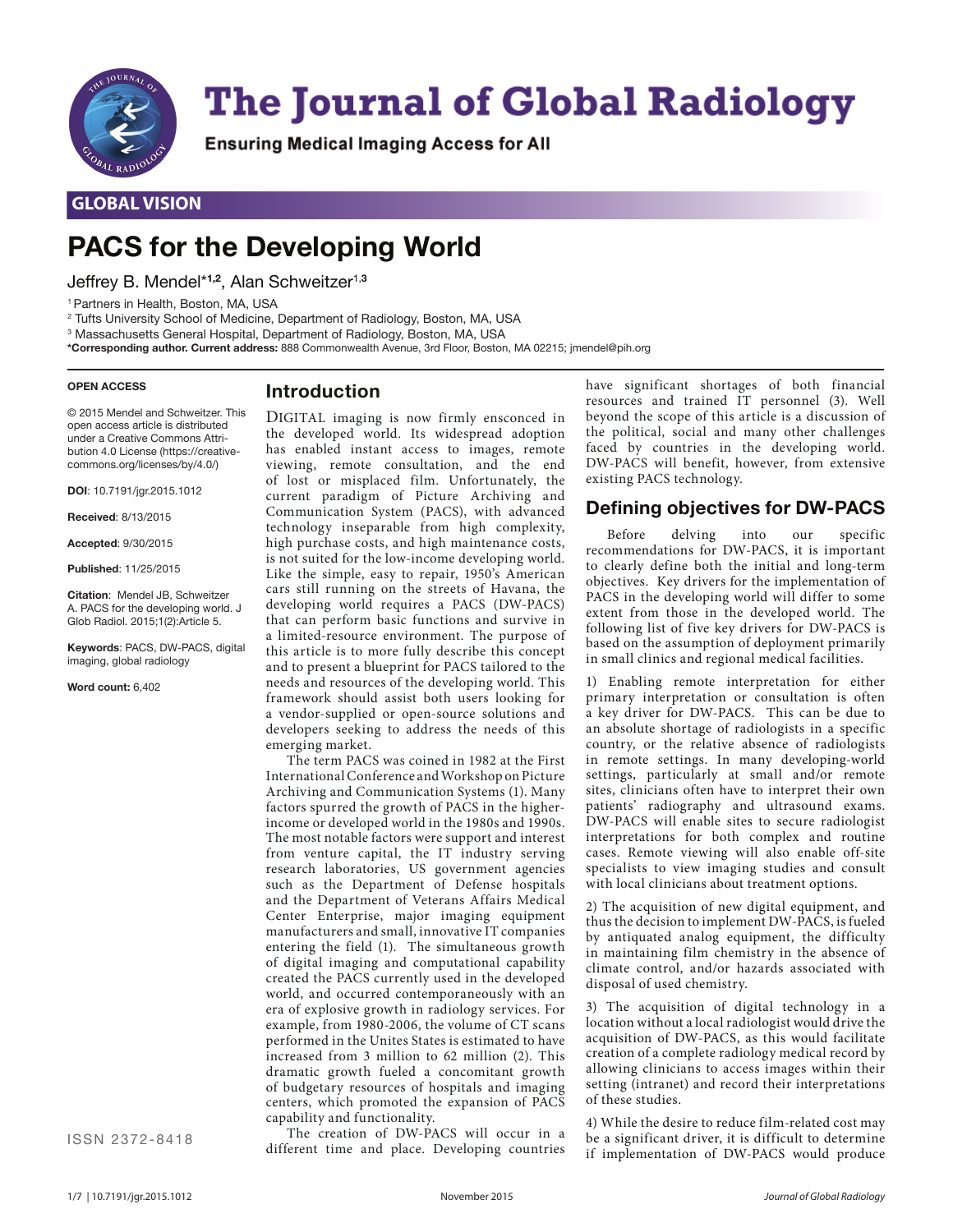

# **The Journal of Global Radiology**

Ensuring Medical Imaging Access for All

# **GLOBAL VISION**

# **PACS for the Developing World**

Jeffrey B. Mendel\***1,2**, Alan Schweitzer1,**<sup>3</sup>**

1 Partners in Health, Boston, MA, USA

2 Tufts University School of Medicine, Department of Radiology, Boston, MA, USA

3 Massachusetts General Hospital, Department of Radiology, Boston, MA, USA

**\*Corresponding author. Current address:** 888 Commonwealth Avenue, 3rd Floor, Boston, MA 02215; jmendel@pih.org

#### **OPEN ACCESS**

# **Introduction**

© 2015 Mendel and Schweitzer. This open access article is distributed under a Creative Commons Attribution 4.0 License (https://creativecommons.org/licenses/by/4.0/)

**DOI**: 10.7191/jgr.2015.1012

**Received**: 8/13/2015

**Accepted**: 9/30/2015

**Published**: 11/25/2015

**Citation**: Mendel JB, Schweitzer A. PACS for the developing world. J Glob Radiol. 2015;1(2):Article 5.

**Keywords**: PACS, DW-PACS, digital imaging, global radiology

**Word count:** 6,402

the developed world. Its widespread adoption has enabled instant access to images, remote viewing, remote consultation, and the end of lost or misplaced film. Unfortunately, the current paradigm of Picture Archiving and Communication System (PACS), with advanced technology inseparable from high complexity, high purchase costs, and high maintenance costs, is not suited for the low-income developing world. Like the simple, easy to repair, 1950's American cars still running on the streets of Havana, the developing world requires a PACS (DW-PACS) that can perform basic functions and survive in a limited-resource environment. The purpose of this article is to more fully describe this concept and to present a blueprint for PACS tailored to the needs and resources of the developing world. This framework should assist both users looking for a vendor-supplied or open-source solutions and developers seeking to address the needs of this emerging market.

DIGITAL imaging is now firmly ensconced in

The term PACS was coined in 1982 at the First International Conference and Workshop on Picture Archiving and Communication Systems (1). Many factors spurred the growth of PACS in the higherincome or developed world in the 1980s and 1990s. The most notable factors were support and interest from venture capital, the IT industry serving research laboratories, US government agencies such as the Department of Defense hospitals and the Department of Veterans Affairs Medical Center Enterprise, major imaging equipment manufacturers and small, innovative IT companies entering the field (1). The simultaneous growth of digital imaging and computational capability created the PACS currently used in the developed world, and occurred contemporaneously with an era of explosive growth in radiology services. For example, from 1980-2006, the volume of CT scans performed in the Unites States is estimated to have increased from 3 million to 62 million (2). This dramatic growth fueled a concomitant growth of budgetary resources of hospitals and imaging centers, which promoted the expansion of PACS capability and functionality.

The creation of DW-PACS will occur in a different time and place. Developing countries have significant shortages of both financial resources and trained IT personnel (3). Well beyond the scope of this article is a discussion of the political, social and many other challenges faced by countries in the developing world. DW-PACS will benefit, however, from extensive existing PACS technology.

# **Defining objectives for DW-PACS**

Before delving into our specific recommendations for DW-PACS, it is important to clearly define both the initial and long-term objectives. Key drivers for the implementation of PACS in the developing world will differ to some extent from those in the developed world. The following list of five key drivers for DW-PACS is based on the assumption of deployment primarily in small clinics and regional medical facilities.

1) Enabling remote interpretation for either primary interpretation or consultation is often a key driver for DW-PACS. This can be due to an absolute shortage of radiologists in a specific country, or the relative absence of radiologists in remote settings. In many developing-world settings, particularly at small and/or remote sites, clinicians often have to interpret their own patients' radiography and ultrasound exams. DW-PACS will enable sites to secure radiologist interpretations for both complex and routine cases. Remote viewing will also enable off-site specialists to view imaging studies and consult with local clinicians about treatment options.

2) The acquisition of new digital equipment, and thus the decision to implement DW-PACS, is fueled by antiquated analog equipment, the difficulty in maintaining film chemistry in the absence of climate control, and/or hazards associated with disposal of used chemistry.

3) The acquisition of digital technology in a location without a local radiologist would drive the acquisition of DW-PACS, as this would facilitate creation of a complete radiology medical record by allowing clinicians to access images within their setting (intranet) and record their interpretations of these studies.

4) While the desire to reduce film-related cost may be a significant driver, it is difficult to determine if implementation of DW-PACS would produce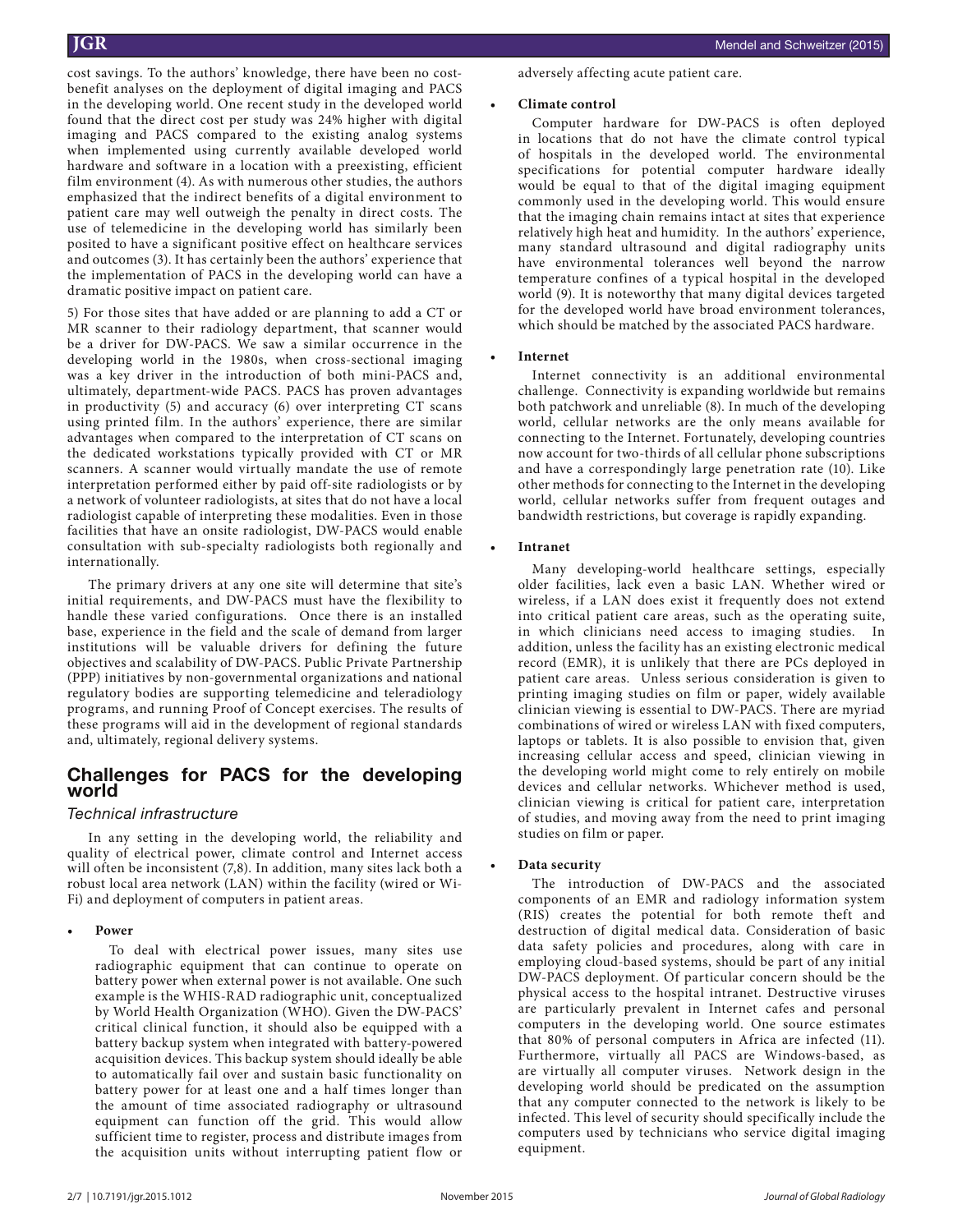cost savings. To the authors' knowledge, there have been no costbenefit analyses on the deployment of digital imaging and PACS in the developing world. One recent study in the developed world found that the direct cost per study was 24% higher with digital imaging and PACS compared to the existing analog systems when implemented using currently available developed world hardware and software in a location with a preexisting, efficient film environment (4). As with numerous other studies, the authors emphasized that the indirect benefits of a digital environment to patient care may well outweigh the penalty in direct costs. The use of telemedicine in the developing world has similarly been posited to have a significant positive effect on healthcare services and outcomes (3). It has certainly been the authors' experience that the implementation of PACS in the developing world can have a dramatic positive impact on patient care.

5) For those sites that have added or are planning to add a CT or MR scanner to their radiology department, that scanner would be a driver for DW-PACS. We saw a similar occurrence in the developing world in the 1980s, when cross-sectional imaging was a key driver in the introduction of both mini-PACS and, ultimately, department-wide PACS. PACS has proven advantages in productivity (5) and accuracy (6) over interpreting CT scans using printed film. In the authors' experience, there are similar advantages when compared to the interpretation of CT scans on the dedicated workstations typically provided with CT or MR scanners. A scanner would virtually mandate the use of remote interpretation performed either by paid off-site radiologists or by a network of volunteer radiologists, at sites that do not have a local radiologist capable of interpreting these modalities. Even in those facilities that have an onsite radiologist, DW-PACS would enable consultation with sub-specialty radiologists both regionally and internationally.

The primary drivers at any one site will determine that site's initial requirements, and DW-PACS must have the flexibility to handle these varied configurations. Once there is an installed base, experience in the field and the scale of demand from larger institutions will be valuable drivers for defining the future objectives and scalability of DW-PACS. Public Private Partnership (PPP) initiatives by non-governmental organizations and national regulatory bodies are supporting telemedicine and teleradiology programs, and running Proof of Concept exercises. The results of these programs will aid in the development of regional standards and, ultimately, regional delivery systems.

# **Challenges for PACS for the developing world**

# *Technical infrastructure*

In any setting in the developing world, the reliability and quality of electrical power, climate control and Internet access will often be inconsistent (7,8). In addition, many sites lack both a robust local area network (LAN) within the facility (wired or Wi-Fi) and deployment of computers in patient areas.

**• Power**

To deal with electrical power issues, many sites use radiographic equipment that can continue to operate on battery power when external power is not available. One such example is the WHIS-RAD radiographic unit, conceptualized by World Health Organization (WHO). Given the DW-PACS' critical clinical function, it should also be equipped with a battery backup system when integrated with battery-powered acquisition devices. This backup system should ideally be able to automatically fail over and sustain basic functionality on battery power for at least one and a half times longer than the amount of time associated radiography or ultrasound equipment can function off the grid. This would allow sufficient time to register, process and distribute images from the acquisition units without interrupting patient flow or adversely affecting acute patient care.

# **• Climate control**

Computer hardware for DW-PACS is often deployed in locations that do not have the climate control typical of hospitals in the developed world. The environmental specifications for potential computer hardware ideally would be equal to that of the digital imaging equipment commonly used in the developing world. This would ensure that the imaging chain remains intact at sites that experience relatively high heat and humidity. In the authors' experience, many standard ultrasound and digital radiography units have environmental tolerances well beyond the narrow temperature confines of a typical hospital in the developed world (9). It is noteworthy that many digital devices targeted for the developed world have broad environment tolerances, which should be matched by the associated PACS hardware.

# **• Internet**

Internet connectivity is an additional environmental challenge. Connectivity is expanding worldwide but remains both patchwork and unreliable (8). In much of the developing world, cellular networks are the only means available for connecting to the Internet. Fortunately, developing countries now account for two-thirds of all cellular phone subscriptions and have a correspondingly large penetration rate (10). Like other methods for connecting to the Internet in the developing world, cellular networks suffer from frequent outages and bandwidth restrictions, but coverage is rapidly expanding.

# **• Intranet**

Many developing-world healthcare settings, especially older facilities, lack even a basic LAN. Whether wired or wireless, if a LAN does exist it frequently does not extend into critical patient care areas, such as the operating suite, in which clinicians need access to imaging studies. In addition, unless the facility has an existing electronic medical record (EMR), it is unlikely that there are PCs deployed in patient care areas. Unless serious consideration is given to printing imaging studies on film or paper, widely available clinician viewing is essential to DW-PACS. There are myriad combinations of wired or wireless LAN with fixed computers, laptops or tablets. It is also possible to envision that, given increasing cellular access and speed, clinician viewing in the developing world might come to rely entirely on mobile devices and cellular networks. Whichever method is used, clinician viewing is critical for patient care, interpretation of studies, and moving away from the need to print imaging studies on film or paper.

# **• Data security**

The introduction of DW-PACS and the associated components of an EMR and radiology information system (RIS) creates the potential for both remote theft and destruction of digital medical data. Consideration of basic data safety policies and procedures, along with care in employing cloud-based systems, should be part of any initial DW-PACS deployment. Of particular concern should be the physical access to the hospital intranet. Destructive viruses are particularly prevalent in Internet cafes and personal computers in the developing world. One source estimates that 80% of personal computers in Africa are infected (11). Furthermore, virtually all PACS are Windows-based, as are virtually all computer viruses. Network design in the developing world should be predicated on the assumption that any computer connected to the network is likely to be infected. This level of security should specifically include the computers used by technicians who service digital imaging equipment.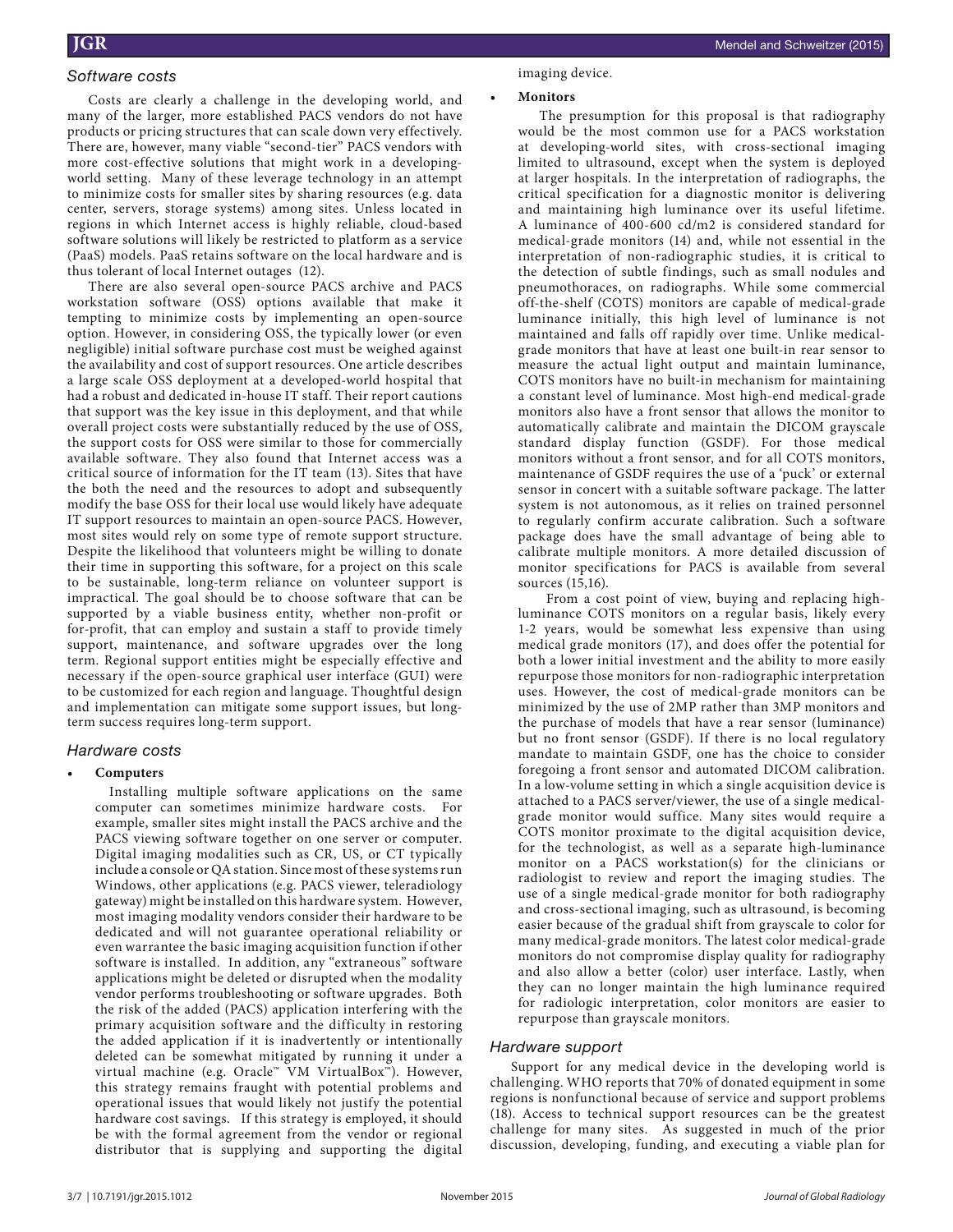# *Software costs*

Costs are clearly a challenge in the developing world, and many of the larger, more established PACS vendors do not have products or pricing structures that can scale down very effectively. There are, however, many viable "second-tier" PACS vendors with more cost-effective solutions that might work in a developingworld setting. Many of these leverage technology in an attempt to minimize costs for smaller sites by sharing resources (e.g. data center, servers, storage systems) among sites. Unless located in regions in which Internet access is highly reliable, cloud-based software solutions will likely be restricted to platform as a service (PaaS) models. PaaS retains software on the local hardware and is thus tolerant of local Internet outages (12).

There are also several open-source PACS archive and PACS workstation software (OSS) options available that make it tempting to minimize costs by implementing an open-source option. However, in considering OSS, the typically lower (or even negligible) initial software purchase cost must be weighed against the availability and cost of support resources. One article describes a large scale OSS deployment at a developed-world hospital that had a robust and dedicated in-house IT staff. Their report cautions that support was the key issue in this deployment, and that while overall project costs were substantially reduced by the use of OSS, the support costs for OSS were similar to those for commercially available software. They also found that Internet access was a critical source of information for the IT team (13). Sites that have the both the need and the resources to adopt and subsequently modify the base OSS for their local use would likely have adequate IT support resources to maintain an open-source PACS. However, most sites would rely on some type of remote support structure. Despite the likelihood that volunteers might be willing to donate their time in supporting this software, for a project on this scale to be sustainable, long-term reliance on volunteer support is impractical. The goal should be to choose software that can be supported by a viable business entity, whether non-profit or for-profit, that can employ and sustain a staff to provide timely support, maintenance, and software upgrades over the long term. Regional support entities might be especially effective and necessary if the open-source graphical user interface (GUI) were to be customized for each region and language. Thoughtful design and implementation can mitigate some support issues, but longterm success requires long-term support.

# *Hardware costs*

# **• Computers**

Installing multiple software applications on the same computer can sometimes minimize hardware costs. For example, smaller sites might install the PACS archive and the PACS viewing software together on one server or computer. Digital imaging modalities such as CR, US, or CT typically include a console or QA station. Since most of these systems run Windows, other applications (e.g. PACS viewer, teleradiology gateway) might be installed on this hardware system. However, most imaging modality vendors consider their hardware to be dedicated and will not guarantee operational reliability or even warrantee the basic imaging acquisition function if other software is installed. In addition, any "extraneous" software applications might be deleted or disrupted when the modality vendor performs troubleshooting or software upgrades. Both the risk of the added (PACS) application interfering with the primary acquisition software and the difficulty in restoring the added application if it is inadvertently or intentionally deleted can be somewhat mitigated by running it under a virtual machine (e.g. Oracle™ VM VirtualBox™). However, this strategy remains fraught with potential problems and operational issues that would likely not justify the potential hardware cost savings. If this strategy is employed, it should be with the formal agreement from the vendor or regional distributor that is supplying and supporting the digital

#### imaging device.

#### **• Monitors**

The presumption for this proposal is that radiography would be the most common use for a PACS workstation at developing-world sites, with cross-sectional imaging limited to ultrasound, except when the system is deployed at larger hospitals. In the interpretation of radiographs, the critical specification for a diagnostic monitor is delivering and maintaining high luminance over its useful lifetime. A luminance of 400-600 cd/m2 is considered standard for medical-grade monitors (14) and, while not essential in the interpretation of non-radiographic studies, it is critical to the detection of subtle findings, such as small nodules and pneumothoraces, on radiographs. While some commercial off-the-shelf (COTS) monitors are capable of medical-grade luminance initially, this high level of luminance is not maintained and falls off rapidly over time. Unlike medicalgrade monitors that have at least one built-in rear sensor to measure the actual light output and maintain luminance, COTS monitors have no built-in mechanism for maintaining a constant level of luminance. Most high-end medical-grade monitors also have a front sensor that allows the monitor to automatically calibrate and maintain the DICOM grayscale standard display function (GSDF). For those medical monitors without a front sensor, and for all COTS monitors, maintenance of GSDF requires the use of a 'puck' or external sensor in concert with a suitable software package. The latter system is not autonomous, as it relies on trained personnel to regularly confirm accurate calibration. Such a software package does have the small advantage of being able to calibrate multiple monitors. A more detailed discussion of monitor specifications for PACS is available from several sources (15,16).

From a cost point of view, buying and replacing highluminance COTS monitors on a regular basis, likely every 1-2 years, would be somewhat less expensive than using medical grade monitors (17), and does offer the potential for both a lower initial investment and the ability to more easily repurpose those monitors for non-radiographic interpretation uses. However, the cost of medical-grade monitors can be minimized by the use of 2MP rather than 3MP monitors and the purchase of models that have a rear sensor (luminance) but no front sensor (GSDF). If there is no local regulatory mandate to maintain GSDF, one has the choice to consider foregoing a front sensor and automated DICOM calibration. In a low-volume setting in which a single acquisition device is attached to a PACS server/viewer, the use of a single medicalgrade monitor would suffice. Many sites would require a COTS monitor proximate to the digital acquisition device, for the technologist, as well as a separate high-luminance monitor on a PACS workstation(s) for the clinicians or radiologist to review and report the imaging studies. The use of a single medical-grade monitor for both radiography and cross-sectional imaging, such as ultrasound, is becoming easier because of the gradual shift from grayscale to color for many medical-grade monitors. The latest color medical-grade monitors do not compromise display quality for radiography and also allow a better (color) user interface. Lastly, when they can no longer maintain the high luminance required for radiologic interpretation, color monitors are easier to repurpose than grayscale monitors.

# *Hardware support*

Support for any medical device in the developing world is challenging. WHO reports that 70% of donated equipment in some regions is nonfunctional because of service and support problems (18). Access to technical support resources can be the greatest challenge for many sites. As suggested in much of the prior discussion, developing, funding, and executing a viable plan for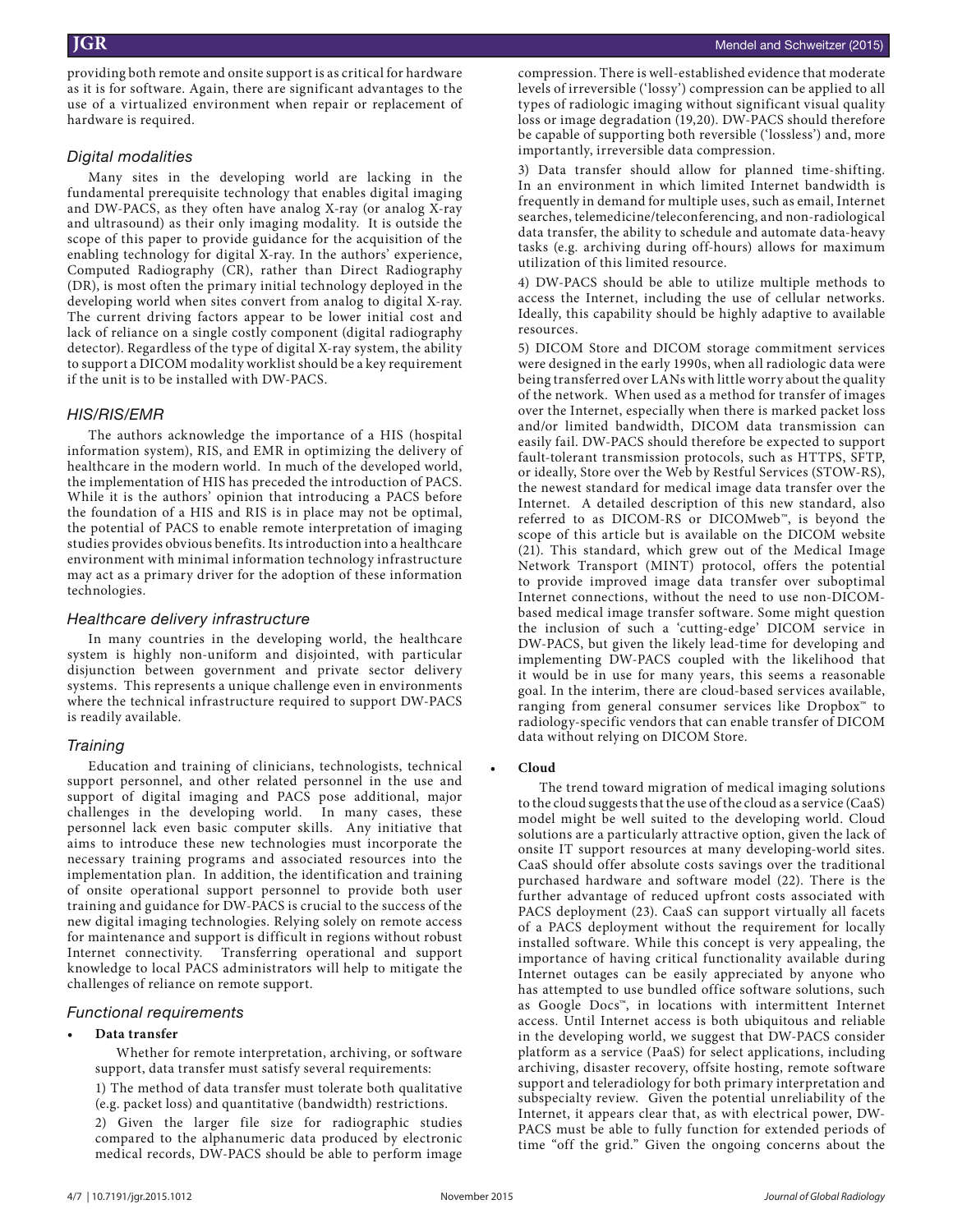providing both remote and onsite support is as critical for hardware as it is for software. Again, there are significant advantages to the use of a virtualized environment when repair or replacement of hardware is required.

# *Digital modalities*

Many sites in the developing world are lacking in the fundamental prerequisite technology that enables digital imaging and DW-PACS, as they often have analog X-ray (or analog X-ray and ultrasound) as their only imaging modality. It is outside the scope of this paper to provide guidance for the acquisition of the enabling technology for digital X-ray. In the authors' experience, Computed Radiography (CR), rather than Direct Radiography (DR), is most often the primary initial technology deployed in the developing world when sites convert from analog to digital X-ray. The current driving factors appear to be lower initial cost and lack of reliance on a single costly component (digital radiography detector). Regardless of the type of digital X-ray system, the ability to support a DICOM modality worklist should be a key requirement if the unit is to be installed with DW-PACS.

# *HIS/RIS/EMR*

The authors acknowledge the importance of a HIS (hospital information system), RIS, and EMR in optimizing the delivery of healthcare in the modern world. In much of the developed world, the implementation of HIS has preceded the introduction of PACS. While it is the authors' opinion that introducing a PACS before the foundation of a HIS and RIS is in place may not be optimal, the potential of PACS to enable remote interpretation of imaging studies provides obvious benefits. Its introduction into a healthcare environment with minimal information technology infrastructure may act as a primary driver for the adoption of these information technologies.

# *Healthcare delivery infrastructure*

In many countries in the developing world, the healthcare system is highly non-uniform and disjointed, with particular disjunction between government and private sector delivery systems. This represents a unique challenge even in environments where the technical infrastructure required to support DW-PACS is readily available.

# *Training*

Education and training of clinicians, technologists, technical support personnel, and other related personnel in the use and support of digital imaging and PACS pose additional, major challenges in the developing world. In many cases, these personnel lack even basic computer skills. Any initiative that aims to introduce these new technologies must incorporate the necessary training programs and associated resources into the implementation plan. In addition, the identification and training of onsite operational support personnel to provide both user training and guidance for DW-PACS is crucial to the success of the new digital imaging technologies. Relying solely on remote access for maintenance and support is difficult in regions without robust Internet connectivity. Transferring operational and support knowledge to local PACS administrators will help to mitigate the challenges of reliance on remote support.

# *Functional requirements*

# **• Data transfer**

Whether for remote interpretation, archiving, or software support, data transfer must satisfy several requirements:

1) The method of data transfer must tolerate both qualitative (e.g. packet loss) and quantitative (bandwidth) restrictions.

2) Given the larger file size for radiographic studies compared to the alphanumeric data produced by electronic medical records, DW-PACS should be able to perform image

compression. There is well-established evidence that moderate levels of irreversible ('lossy') compression can be applied to all types of radiologic imaging without significant visual quality loss or image degradation (19,20). DW-PACS should therefore be capable of supporting both reversible ('lossless') and, more importantly, irreversible data compression.

3) Data transfer should allow for planned time-shifting. In an environment in which limited Internet bandwidth is frequently in demand for multiple uses, such as email, Internet searches, telemedicine/teleconferencing, and non-radiological data transfer, the ability to schedule and automate data-heavy tasks (e.g. archiving during off-hours) allows for maximum utilization of this limited resource.

4) DW-PACS should be able to utilize multiple methods to access the Internet, including the use of cellular networks. Ideally, this capability should be highly adaptive to available resources.

5) DICOM Store and DICOM storage commitment services were designed in the early 1990s, when all radiologic data were being transferred over LANs with little worry about the quality of the network. When used as a method for transfer of images over the Internet, especially when there is marked packet loss and/or limited bandwidth, DICOM data transmission can easily fail. DW-PACS should therefore be expected to support fault-tolerant transmission protocols, such as HTTPS, SFTP, or ideally, Store over the Web by Restful Services (STOW-RS), the newest standard for medical image data transfer over the Internet. A detailed description of this new standard, also referred to as DICOM-RS or DICOMweb™, is beyond the scope of this article but is available on the DICOM website (21). This standard, which grew out of the Medical Image Network Transport (MINT) protocol, offers the potential to provide improved image data transfer over suboptimal Internet connections, without the need to use non-DICOMbased medical image transfer software. Some might question the inclusion of such a 'cutting-edge' DICOM service in DW-PACS, but given the likely lead-time for developing and implementing DW-PACS coupled with the likelihood that it would be in use for many years, this seems a reasonable goal. In the interim, there are cloud-based services available, ranging from general consumer services like Dropbox™ to radiology-specific vendors that can enable transfer of DICOM data without relying on DICOM Store.

# **• Cloud**

The trend toward migration of medical imaging solutions to the cloud suggests that the use of the cloud as a service (CaaS) model might be well suited to the developing world. Cloud solutions are a particularly attractive option, given the lack of onsite IT support resources at many developing-world sites. CaaS should offer absolute costs savings over the traditional purchased hardware and software model (22). There is the further advantage of reduced upfront costs associated with PACS deployment (23). CaaS can support virtually all facets of a PACS deployment without the requirement for locally installed software. While this concept is very appealing, the importance of having critical functionality available during Internet outages can be easily appreciated by anyone who has attempted to use bundled office software solutions, such as Google Docs™, in locations with intermittent Internet access. Until Internet access is both ubiquitous and reliable in the developing world, we suggest that DW-PACS consider platform as a service (PaaS) for select applications, including archiving, disaster recovery, offsite hosting, remote software support and teleradiology for both primary interpretation and subspecialty review. Given the potential unreliability of the Internet, it appears clear that, as with electrical power, DW-PACS must be able to fully function for extended periods of time "off the grid." Given the ongoing concerns about the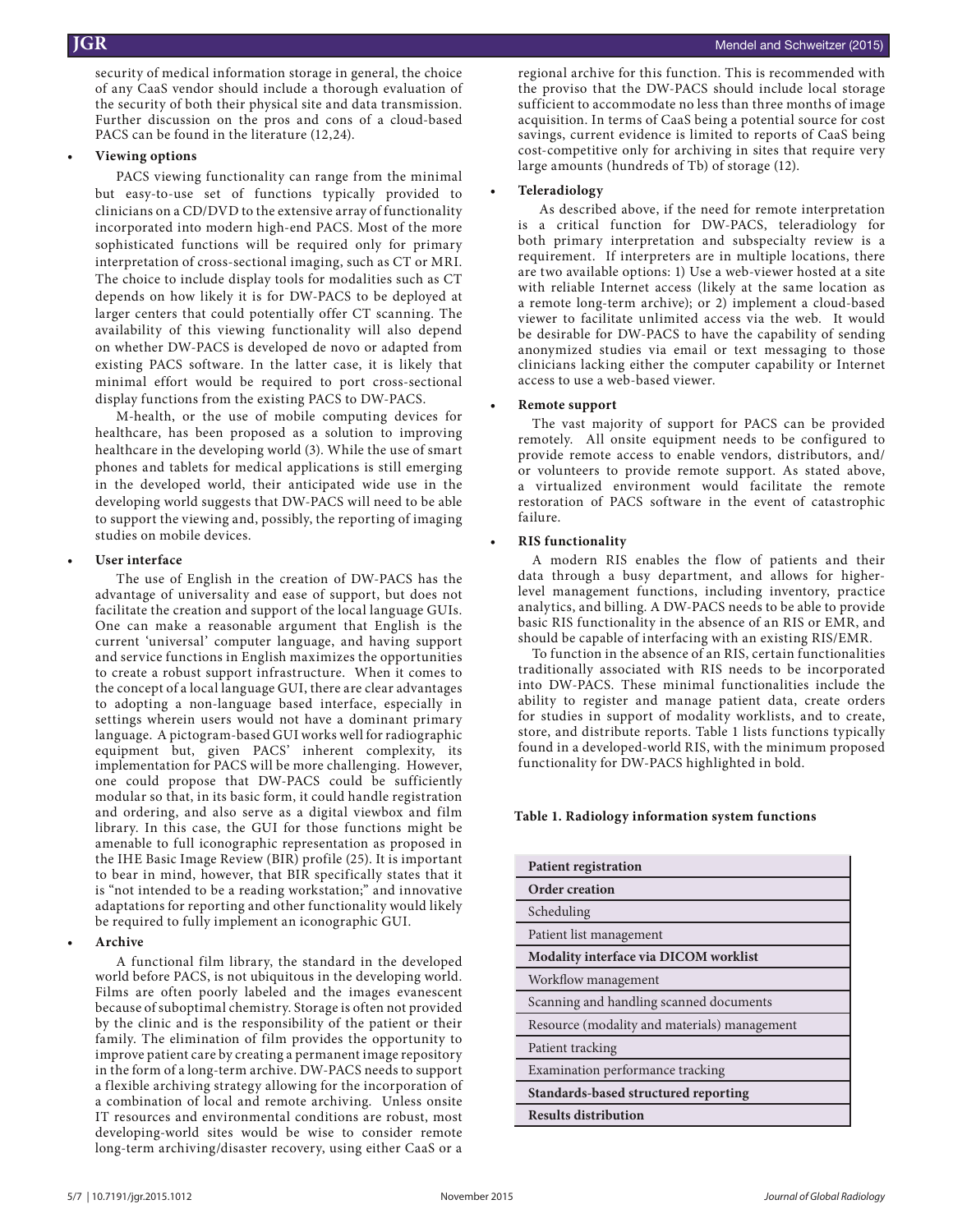security of medical information storage in general, the choice of any CaaS vendor should include a thorough evaluation of the security of both their physical site and data transmission. Further discussion on the pros and cons of a cloud-based PACS can be found in the literature (12,24).

#### **• Viewing options**

PACS viewing functionality can range from the minimal but easy-to-use set of functions typically provided to clinicians on a CD/DVD to the extensive array of functionality incorporated into modern high-end PACS. Most of the more sophisticated functions will be required only for primary interpretation of cross-sectional imaging, such as CT or MRI. The choice to include display tools for modalities such as CT depends on how likely it is for DW-PACS to be deployed at larger centers that could potentially offer CT scanning. The availability of this viewing functionality will also depend on whether DW-PACS is developed de novo or adapted from existing PACS software. In the latter case, it is likely that minimal effort would be required to port cross-sectional display functions from the existing PACS to DW-PACS.

M-health, or the use of mobile computing devices for healthcare, has been proposed as a solution to improving healthcare in the developing world (3). While the use of smart phones and tablets for medical applications is still emerging in the developed world, their anticipated wide use in the developing world suggests that DW-PACS will need to be able to support the viewing and, possibly, the reporting of imaging studies on mobile devices.

#### **• User interface**

The use of English in the creation of DW-PACS has the advantage of universality and ease of support, but does not facilitate the creation and support of the local language GUIs. One can make a reasonable argument that English is the current 'universal' computer language, and having support and service functions in English maximizes the opportunities to create a robust support infrastructure. When it comes to the concept of a local language GUI, there are clear advantages to adopting a non-language based interface, especially in settings wherein users would not have a dominant primary language. A pictogram-based GUI works well for radiographic equipment but, given PACS' inherent complexity, its implementation for PACS will be more challenging. However, one could propose that DW-PACS could be sufficiently modular so that, in its basic form, it could handle registration and ordering, and also serve as a digital viewbox and film library. In this case, the GUI for those functions might be amenable to full iconographic representation as proposed in the IHE Basic Image Review (BIR) profile (25). It is important to bear in mind, however, that BIR specifically states that it is "not intended to be a reading workstation;" and innovative adaptations for reporting and other functionality would likely be required to fully implement an iconographic GUI.

# **• Archive**

A functional film library, the standard in the developed world before PACS, is not ubiquitous in the developing world. Films are often poorly labeled and the images evanescent because of suboptimal chemistry. Storage is often not provided by the clinic and is the responsibility of the patient or their family. The elimination of film provides the opportunity to improve patient care by creating a permanent image repository in the form of a long-term archive. DW-PACS needs to support a flexible archiving strategy allowing for the incorporation of a combination of local and remote archiving. Unless onsite IT resources and environmental conditions are robust, most developing-world sites would be wise to consider remote long-term archiving/disaster recovery, using either CaaS or a

regional archive for this function. This is recommended with the proviso that the DW-PACS should include local storage sufficient to accommodate no less than three months of image acquisition. In terms of CaaS being a potential source for cost savings, current evidence is limited to reports of CaaS being cost-competitive only for archiving in sites that require very large amounts (hundreds of Tb) of storage (12).

# **• Teleradiology**

As described above, if the need for remote interpretation is a critical function for DW-PACS, teleradiology for both primary interpretation and subspecialty review is a requirement. If interpreters are in multiple locations, there are two available options: 1) Use a web-viewer hosted at a site with reliable Internet access (likely at the same location as a remote long-term archive); or 2) implement a cloud-based viewer to facilitate unlimited access via the web. It would be desirable for DW-PACS to have the capability of sending anonymized studies via email or text messaging to those clinicians lacking either the computer capability or Internet access to use a web-based viewer.

#### **• Remote support**

The vast majority of support for PACS can be provided remotely. All onsite equipment needs to be configured to provide remote access to enable vendors, distributors, and/ or volunteers to provide remote support. As stated above, a virtualized environment would facilitate the remote restoration of PACS software in the event of catastrophic failure.

# **• RIS functionality**

A modern RIS enables the flow of patients and their data through a busy department, and allows for higherlevel management functions, including inventory, practice analytics, and billing. A DW-PACS needs to be able to provide basic RIS functionality in the absence of an RIS or EMR, and should be capable of interfacing with an existing RIS/EMR.

To function in the absence of an RIS, certain functionalities traditionally associated with RIS needs to be incorporated into DW-PACS. These minimal functionalities include the ability to register and manage patient data, create orders for studies in support of modality worklists, and to create, store, and distribute reports. Table 1 lists functions typically found in a developed-world RIS, with the minimum proposed functionality for DW-PACS highlighted in bold.

# **Table 1. Radiology information system functions**

| <b>Patient registration</b>                  |
|----------------------------------------------|
| <b>Order creation</b>                        |
| Scheduling                                   |
| Patient list management                      |
| Modality interface via DICOM worklist        |
| Workflow management                          |
| Scanning and handling scanned documents      |
| Resource (modality and materials) management |
| Patient tracking                             |
| Examination performance tracking             |
| Standards-based structured reporting         |
| <b>Results distribution</b>                  |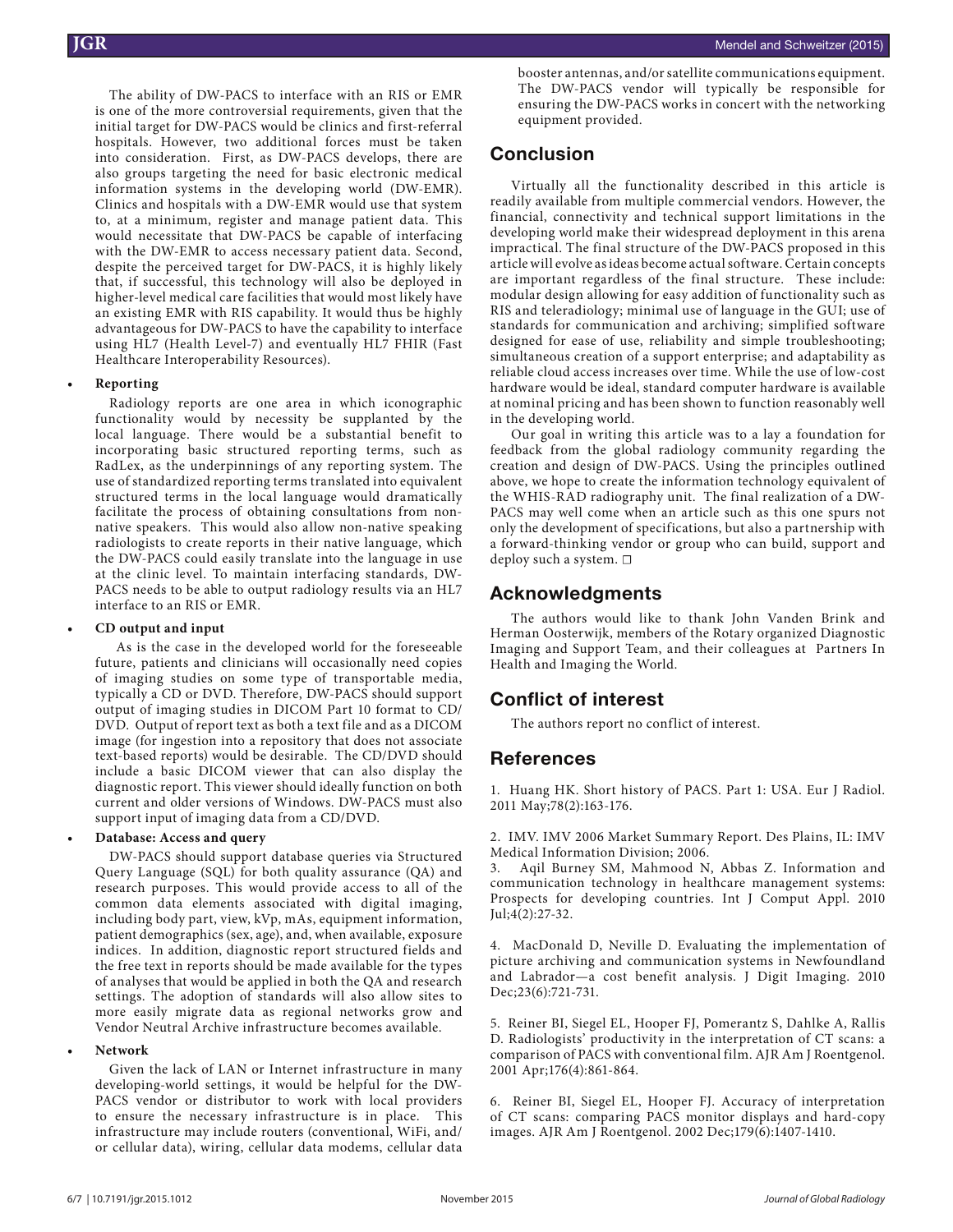The ability of DW-PACS to interface with an RIS or EMR is one of the more controversial requirements, given that the initial target for DW-PACS would be clinics and first-referral hospitals. However, two additional forces must be taken into consideration. First, as DW-PACS develops, there are also groups targeting the need for basic electronic medical information systems in the developing world (DW-EMR). Clinics and hospitals with a DW-EMR would use that system to, at a minimum, register and manage patient data. This would necessitate that DW-PACS be capable of interfacing with the DW-EMR to access necessary patient data. Second, despite the perceived target for DW-PACS, it is highly likely that, if successful, this technology will also be deployed in higher-level medical care facilities that would most likely have an existing EMR with RIS capability. It would thus be highly advantageous for DW-PACS to have the capability to interface using HL7 (Health Level-7) and eventually HL7 FHIR (Fast Healthcare Interoperability Resources).

#### **• Reporting**

Radiology reports are one area in which iconographic functionality would by necessity be supplanted by the local language. There would be a substantial benefit to incorporating basic structured reporting terms, such as RadLex, as the underpinnings of any reporting system. The use of standardized reporting terms translated into equivalent structured terms in the local language would dramatically facilitate the process of obtaining consultations from nonnative speakers. This would also allow non-native speaking radiologists to create reports in their native language, which the DW-PACS could easily translate into the language in use at the clinic level. To maintain interfacing standards, DW-PACS needs to be able to output radiology results via an HL7 interface to an RIS or EMR.

#### **• CD output and input**

As is the case in the developed world for the foreseeable future, patients and clinicians will occasionally need copies of imaging studies on some type of transportable media, typically a CD or DVD. Therefore, DW-PACS should support output of imaging studies in DICOM Part 10 format to CD/ DVD. Output of report text as both a text file and as a DICOM image (for ingestion into a repository that does not associate text-based reports) would be desirable. The CD/DVD should include a basic DICOM viewer that can also display the diagnostic report. This viewer should ideally function on both current and older versions of Windows. DW-PACS must also support input of imaging data from a CD/DVD.

#### **• Database: Access and query**

DW-PACS should support database queries via Structured Query Language (SQL) for both quality assurance (QA) and research purposes. This would provide access to all of the common data elements associated with digital imaging, including body part, view, kVp, mAs, equipment information, patient demographics (sex, age), and, when available, exposure indices. In addition, diagnostic report structured fields and the free text in reports should be made available for the types of analyses that would be applied in both the QA and research settings. The adoption of standards will also allow sites to more easily migrate data as regional networks grow and Vendor Neutral Archive infrastructure becomes available.

#### **• Network**

Given the lack of LAN or Internet infrastructure in many developing-world settings, it would be helpful for the DW-PACS vendor or distributor to work with local providers to ensure the necessary infrastructure is in place. This infrastructure may include routers (conventional, WiFi, and/ or cellular data), wiring, cellular data modems, cellular data booster antennas, and/or satellite communications equipment. The DW-PACS vendor will typically be responsible for ensuring the DW-PACS works in concert with the networking equipment provided.

# **Conclusion**

Virtually all the functionality described in this article is readily available from multiple commercial vendors. However, the financial, connectivity and technical support limitations in the developing world make their widespread deployment in this arena impractical. The final structure of the DW-PACS proposed in this article will evolve as ideas become actual software. Certain concepts are important regardless of the final structure. These include: modular design allowing for easy addition of functionality such as RIS and teleradiology; minimal use of language in the GUI; use of standards for communication and archiving; simplified software designed for ease of use, reliability and simple troubleshooting; simultaneous creation of a support enterprise; and adaptability as reliable cloud access increases over time. While the use of low-cost hardware would be ideal, standard computer hardware is available at nominal pricing and has been shown to function reasonably well in the developing world.

Our goal in writing this article was to a lay a foundation for feedback from the global radiology community regarding the creation and design of DW-PACS. Using the principles outlined above, we hope to create the information technology equivalent of the WHIS-RAD radiography unit. The final realization of a DW-PACS may well come when an article such as this one spurs not only the development of specifications, but also a partnership with a forward-thinking vendor or group who can build, support and deploy such a system. □

# **Acknowledgments**

The authors would like to thank John Vanden Brink and Herman Oosterwijk, members of the Rotary organized Diagnostic Imaging and Support Team, and their colleagues at Partners In Health and Imaging the World.

# **Conflict of interest**

The authors report no conflict of interest.

# **References**

1. Huang HK. Short history of PACS. Part 1: USA. Eur J Radiol. 2011 May;78(2):163-176.

2. IMV. IMV 2006 Market Summary Report. Des Plains, IL: IMV Medical Information Division; 2006.

Aqil Burney SM, Mahmood N, Abbas Z. Information and communication technology in healthcare management systems: Prospects for developing countries. Int J Comput Appl. 2010 Jul;4(2):27-32.

4. MacDonald D, Neville D. Evaluating the implementation of picture archiving and communication systems in Newfoundland and Labrador—a cost benefit analysis. J Digit Imaging. 2010 Dec;23(6):721-731.

5. Reiner BI, Siegel EL, Hooper FJ, Pomerantz S, Dahlke A, Rallis D. Radiologists' productivity in the interpretation of CT scans: a comparison of PACS with conventional film. AJR Am J Roentgenol. 2001 Apr;176(4):861-864.

6. Reiner BI, Siegel EL, Hooper FJ. Accuracy of interpretation of CT scans: comparing PACS monitor displays and hard-copy images. AJR Am J Roentgenol. 2002 Dec;179(6):1407-1410.